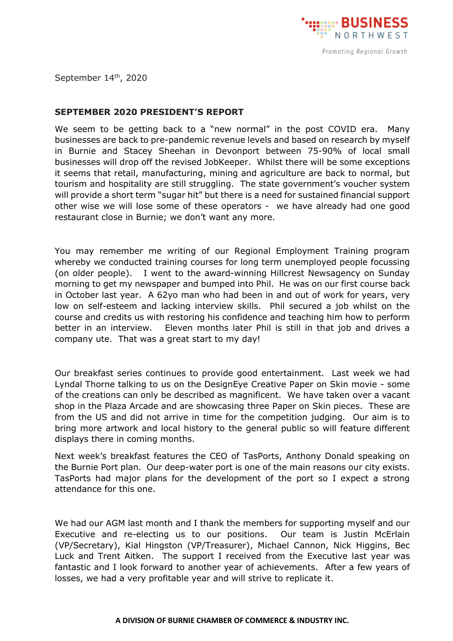

September 14<sup>th</sup>, 2020

## **SEPTEMBER 2020 PRESIDENT'S REPORT**

We seem to be getting back to a "new normal" in the post COVID era. Many businesses are back to pre-pandemic revenue levels and based on research by myself in Burnie and Stacey Sheehan in Devonport between 75-90% of local small businesses will drop off the revised JobKeeper. Whilst there will be some exceptions it seems that retail, manufacturing, mining and agriculture are back to normal, but tourism and hospitality are still struggling. The state government's voucher system will provide a short term "sugar hit" but there is a need for sustained financial support other wise we will lose some of these operators - we have already had one good restaurant close in Burnie; we don't want any more.

You may remember me writing of our Regional Employment Training program whereby we conducted training courses for long term unemployed people focussing (on older people). I went to the award-winning Hillcrest Newsagency on Sunday morning to get my newspaper and bumped into Phil. He was on our first course back in October last year. A 62yo man who had been in and out of work for years, very low on self-esteem and lacking interview skills. Phil secured a job whilst on the course and credits us with restoring his confidence and teaching him how to perform better in an interview. Eleven months later Phil is still in that job and drives a company ute. That was a great start to my day!

Our breakfast series continues to provide good entertainment. Last week we had Lyndal Thorne talking to us on the DesignEye Creative Paper on Skin movie - some of the creations can only be described as magnificent. We have taken over a vacant shop in the Plaza Arcade and are showcasing three Paper on Skin pieces. These are from the US and did not arrive in time for the competition judging. Our aim is to bring more artwork and local history to the general public so will feature different displays there in coming months.

Next week's breakfast features the CEO of TasPorts, Anthony Donald speaking on the Burnie Port plan. Our deep-water port is one of the main reasons our city exists. TasPorts had major plans for the development of the port so I expect a strong attendance for this one.

We had our AGM last month and I thank the members for supporting myself and our Executive and re-electing us to our positions. Our team is Justin McErlain (VP/Secretary), Kial Hingston (VP/Treasurer), Michael Cannon, Nick Higgins, Bec Luck and Trent Aitken. The support I received from the Executive last year was fantastic and I look forward to another year of achievements. After a few years of losses, we had a very profitable year and will strive to replicate it.